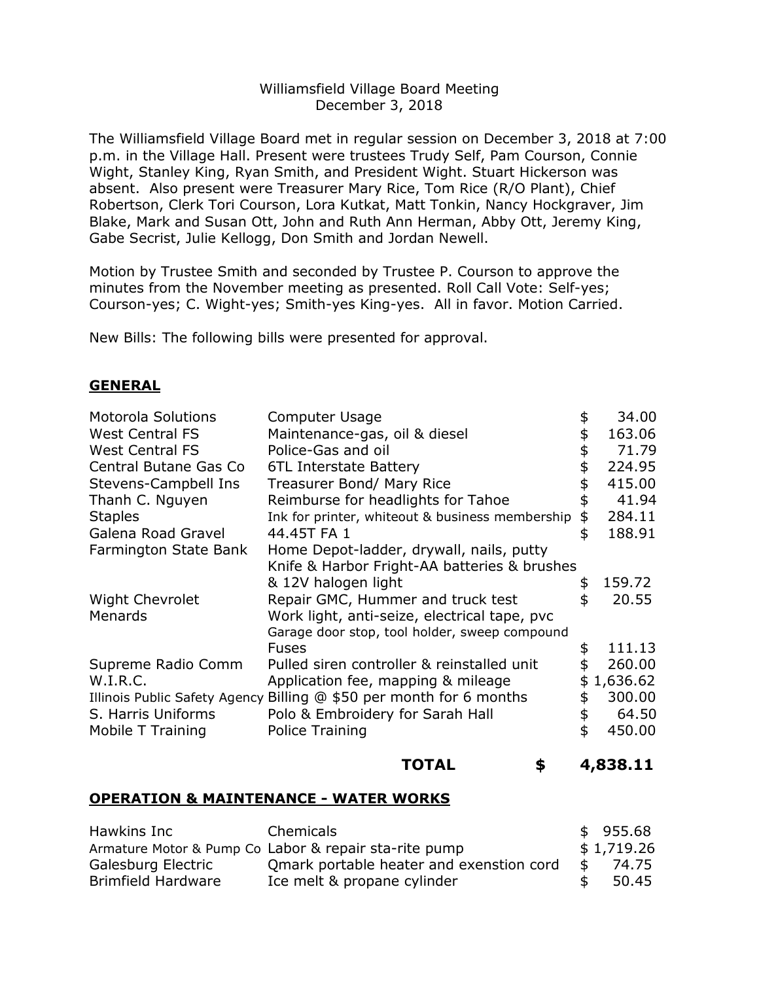## Williamsfield Village Board Meeting December 3, 2018

The Williamsfield Village Board met in regular session on December 3, 2018 at 7:00 p.m. in the Village Hall. Present were trustees Trudy Self, Pam Courson, Connie Wight, Stanley King, Ryan Smith, and President Wight. Stuart Hickerson was absent. Also present were Treasurer Mary Rice, Tom Rice (R/O Plant), Chief Robertson, Clerk Tori Courson, Lora Kutkat, Matt Tonkin, Nancy Hockgraver, Jim Blake, Mark and Susan Ott, John and Ruth Ann Herman, Abby Ott, Jeremy King, Gabe Secrist, Julie Kellogg, Don Smith and Jordan Newell.

Motion by Trustee Smith and seconded by Trustee P. Courson to approve the minutes from the November meeting as presented. Roll Call Vote: Self-yes; Courson-yes; C. Wight-yes; Smith-yes King-yes. All in favor. Motion Carried.

New Bills: The following bills were presented for approval.

## **GENERAL**

| <b>Motorola Solutions</b> | Computer Usage                                                      | 34.00          |
|---------------------------|---------------------------------------------------------------------|----------------|
| <b>West Central FS</b>    | Maintenance-gas, oil & diesel                                       | \$<br>163.06   |
| <b>West Central FS</b>    | Police-Gas and oil                                                  | \$<br>71.79    |
| Central Butane Gas Co     | 6TL Interstate Battery                                              | \$<br>224.95   |
| Stevens-Campbell Ins      | Treasurer Bond/ Mary Rice                                           | \$<br>415.00   |
| Thanh C. Nguyen           | Reimburse for headlights for Tahoe                                  | \$<br>41.94    |
| <b>Staples</b>            | Ink for printer, whiteout & business membership                     | \$<br>284.11   |
| Galena Road Gravel        | 44.45T FA 1                                                         | \$<br>188.91   |
| Farmington State Bank     | Home Depot-ladder, drywall, nails, putty                            |                |
|                           | Knife & Harbor Fright-AA batteries & brushes                        |                |
|                           | & 12V halogen light                                                 | \$<br>159.72   |
| <b>Wight Chevrolet</b>    | Repair GMC, Hummer and truck test                                   | \$<br>20.55    |
| Menards                   | Work light, anti-seize, electrical tape, pvc                        |                |
|                           | Garage door stop, tool holder, sweep compound                       |                |
|                           | <b>Fuses</b>                                                        | \$<br>111.13   |
| Supreme Radio Comm        | Pulled siren controller & reinstalled unit                          | \$<br>260.00   |
| W.I.R.C.                  | Application fee, mapping & mileage                                  | \$<br>1,636.62 |
|                           | Illinois Public Safety Agency Billing @ \$50 per month for 6 months | \$<br>300.00   |
| S. Harris Uniforms        | Polo & Embroidery for Sarah Hall                                    | \$<br>64.50    |
| Mobile T Training         | Police Training                                                     | \$<br>450.00   |
|                           |                                                                     |                |

#### **TOTAL \$ 4,838.11**

#### **OPERATION & MAINTENANCE - WATER WORKS**

| Hawkins Inc        | Chemicals                                             |               | \$955.68   |
|--------------------|-------------------------------------------------------|---------------|------------|
|                    | Armature Motor & Pump Co Labor & repair sta-rite pump |               | \$1,719.26 |
| Galesburg Electric | Omark portable heater and exenstion cord              | - \$          | 74.75      |
| Brimfield Hardware | Ice melt & propane cylinder                           | $\mathcal{F}$ | 50.45      |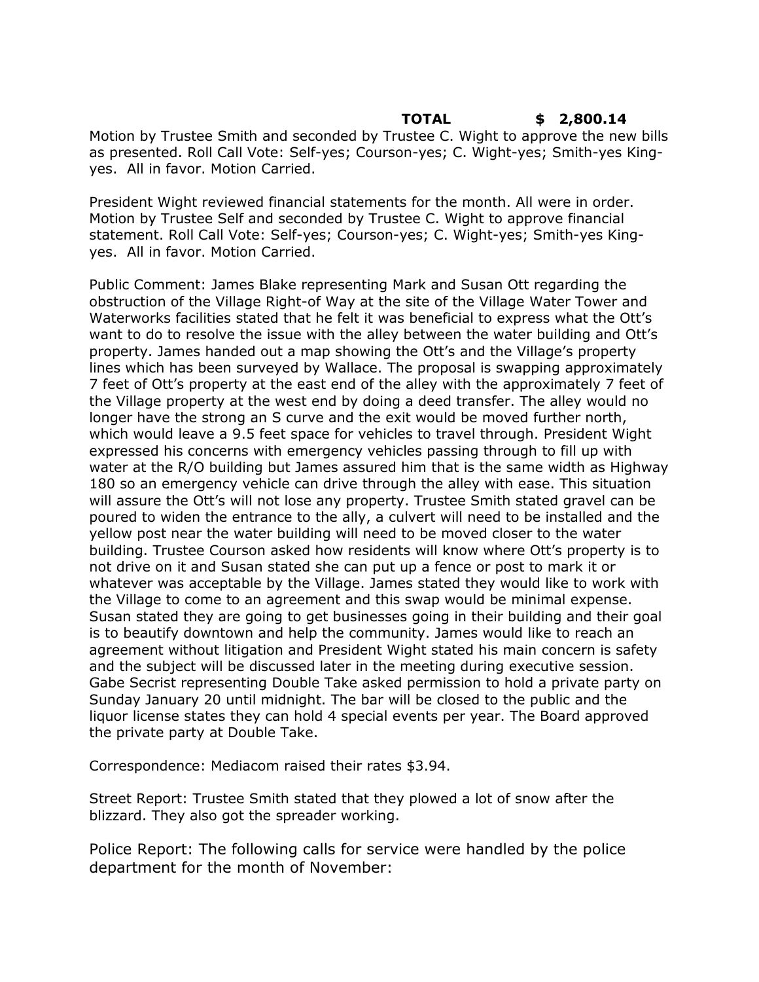### **TOTAL \$ 2,800.14** Motion by Trustee Smith and seconded by Trustee C. Wight to approve the new bills as presented. Roll Call Vote: Self-yes; Courson-yes; C. Wight-yes; Smith-yes Kingyes. All in favor. Motion Carried.

President Wight reviewed financial statements for the month. All were in order. Motion by Trustee Self and seconded by Trustee C. Wight to approve financial statement. Roll Call Vote: Self-yes; Courson-yes; C. Wight-yes; Smith-yes Kingyes. All in favor. Motion Carried.

Public Comment: James Blake representing Mark and Susan Ott regarding the obstruction of the Village Right-of Way at the site of the Village Water Tower and Waterworks facilities stated that he felt it was beneficial to express what the Ott's want to do to resolve the issue with the alley between the water building and Ott's property. James handed out a map showing the Ott's and the Village's property lines which has been surveyed by Wallace. The proposal is swapping approximately 7 feet of Ott's property at the east end of the alley with the approximately 7 feet of the Village property at the west end by doing a deed transfer. The alley would no longer have the strong an S curve and the exit would be moved further north, which would leave a 9.5 feet space for vehicles to travel through. President Wight expressed his concerns with emergency vehicles passing through to fill up with water at the R/O building but James assured him that is the same width as Highway 180 so an emergency vehicle can drive through the alley with ease. This situation will assure the Ott's will not lose any property. Trustee Smith stated gravel can be poured to widen the entrance to the ally, a culvert will need to be installed and the yellow post near the water building will need to be moved closer to the water building. Trustee Courson asked how residents will know where Ott's property is to not drive on it and Susan stated she can put up a fence or post to mark it or whatever was acceptable by the Village. James stated they would like to work with the Village to come to an agreement and this swap would be minimal expense. Susan stated they are going to get businesses going in their building and their goal is to beautify downtown and help the community. James would like to reach an agreement without litigation and President Wight stated his main concern is safety and the subject will be discussed later in the meeting during executive session. Gabe Secrist representing Double Take asked permission to hold a private party on Sunday January 20 until midnight. The bar will be closed to the public and the liquor license states they can hold 4 special events per year. The Board approved the private party at Double Take.

Correspondence: Mediacom raised their rates \$3.94.

Street Report: Trustee Smith stated that they plowed a lot of snow after the blizzard. They also got the spreader working.

Police Report: The following calls for service were handled by the police department for the month of November: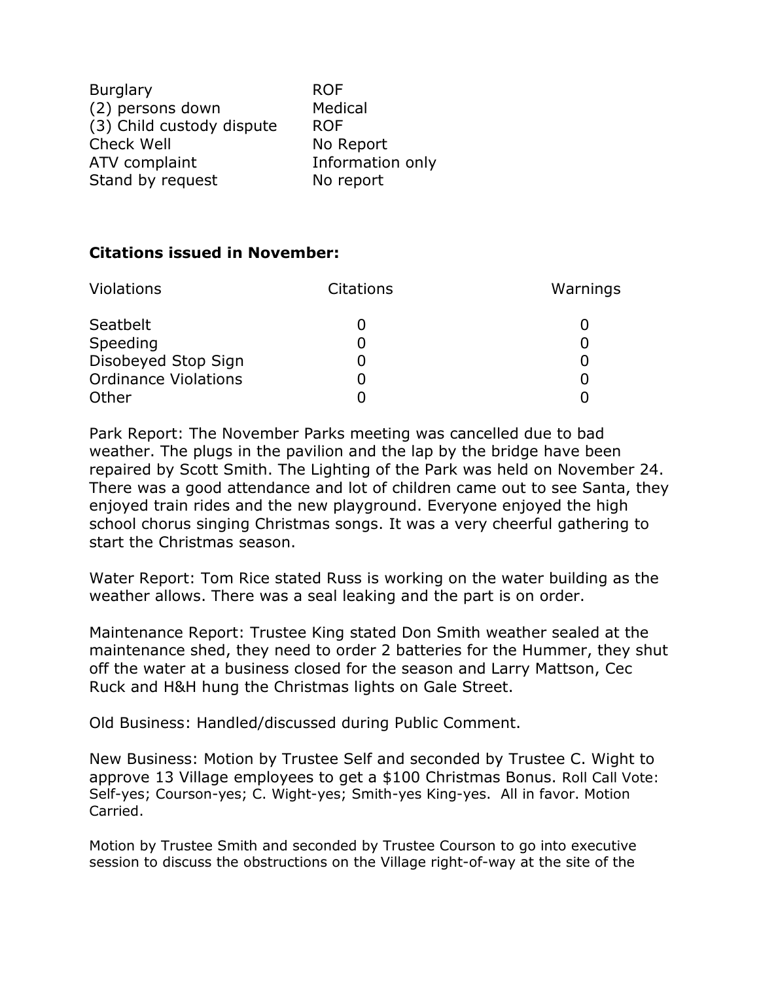Burglary ROF (2) persons down Medical (3) Child custody dispute ROF Check Well No Report ATV complaint The Information only Stand by request No report

# **Citations issued in November:**

| <b>Violations</b>           | <b>Citations</b> | Warnings |
|-----------------------------|------------------|----------|
| Seatbelt                    |                  |          |
| Speeding                    | O                |          |
| Disobeyed Stop Sign         |                  |          |
| <b>Ordinance Violations</b> |                  |          |
| Other                       |                  |          |

Park Report: The November Parks meeting was cancelled due to bad weather. The plugs in the pavilion and the lap by the bridge have been repaired by Scott Smith. The Lighting of the Park was held on November 24. There was a good attendance and lot of children came out to see Santa, they enjoyed train rides and the new playground. Everyone enjoyed the high school chorus singing Christmas songs. It was a very cheerful gathering to start the Christmas season.

Water Report: Tom Rice stated Russ is working on the water building as the weather allows. There was a seal leaking and the part is on order.

Maintenance Report: Trustee King stated Don Smith weather sealed at the maintenance shed, they need to order 2 batteries for the Hummer, they shut off the water at a business closed for the season and Larry Mattson, Cec Ruck and H&H hung the Christmas lights on Gale Street.

Old Business: Handled/discussed during Public Comment.

New Business: Motion by Trustee Self and seconded by Trustee C. Wight to approve 13 Village employees to get a \$100 Christmas Bonus. Roll Call Vote: Self-yes; Courson-yes; C. Wight-yes; Smith-yes King-yes. All in favor. Motion Carried.

Motion by Trustee Smith and seconded by Trustee Courson to go into executive session to discuss the obstructions on the Village right-of-way at the site of the